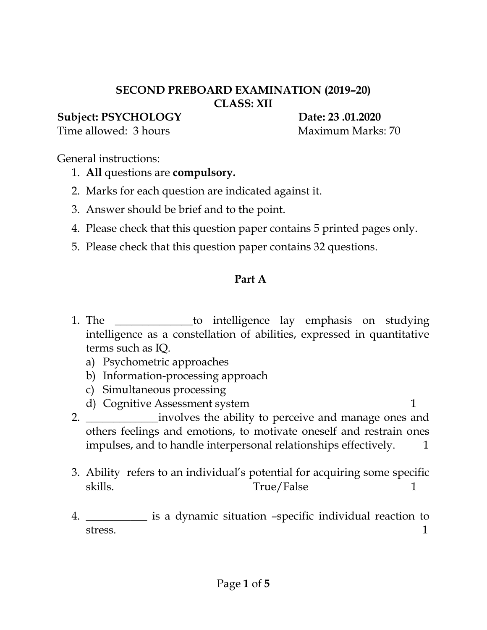#### **SECOND PREBOARD EXAMINATION (2019–20) CLASS: XII**

### **Subject: PSYCHOLOGY Date: 23 .01.2020**

Time allowed: 3 hours Maximum Marks: 70

General instructions:

- 1. **All** questions are **compulsory.**
- 2. Marks for each question are indicated against it.
- 3. Answer should be brief and to the point.
- 4. Please check that this question paper contains 5 printed pages only.
- 5. Please check that this question paper contains 32 questions.

# **Part A**

- 1. The \_\_\_\_\_\_\_\_\_\_\_\_\_\_to intelligence lay emphasis on studying intelligence as a constellation of abilities, expressed in quantitative terms such as IQ.
	- a) Psychometric approaches
	- b) Information-processing approach
	- c) Simultaneous processing
	- d) Cognitive Assessment system 1
- 2. \_\_\_\_\_\_\_\_\_\_\_\_\_\_\_\_\_involves the ability to perceive and manage ones and others feelings and emotions, to motivate oneself and restrain ones impulses, and to handle interpersonal relationships effectively.  $1$
- 3. Ability refers to an individual's potential for acquiring some specific skills. True/False 1
- 4. \_\_\_\_\_\_\_\_\_\_\_ is a dynamic situation –specific individual reaction to stress. The contract of the contract of  $\sim$  1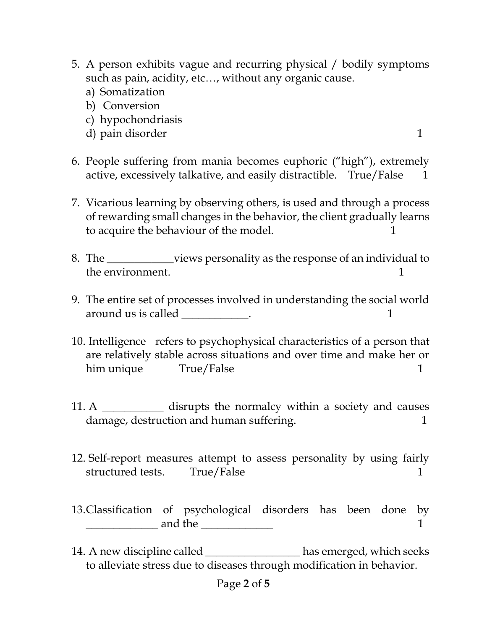- 5. A person exhibits vague and recurring physical / bodily symptoms such as pain, acidity, etc…, without any organic cause.
	- a) Somatization
	- b) Conversion
	- c) hypochondriasis
	- d) pain disorder 1
- 6. People suffering from mania becomes euphoric ("high"), extremely active, excessively talkative, and easily distractible. True/False 1
- 7. Vicarious learning by observing others, is used and through a process of rewarding small changes in the behavior, the client gradually learns to acquire the behaviour of the model. 1
- 8. The \_\_\_\_\_\_\_\_\_\_\_\_views personality as the response of an individual to the environment. The environment of the environment of the state of the state of the state of the state of the state of the state of the state of the state of the state of the state of the state of the state of the state o
- 9. The entire set of processes involved in understanding the social world around us is called \_\_\_\_\_\_\_\_\_\_\_\_. 1
- 10. Intelligence refers to psychophysical characteristics of a person that are relatively stable across situations and over time and make her or him unique True/False 1
- 11. A \_\_\_\_\_\_\_\_\_\_\_\_\_ disrupts the normalcy within a society and causes damage, destruction and human suffering.
- 12. Self-report measures attempt to assess personality by using fairly structured tests. True/False 1
- 13.Classification of psychological disorders has been done by and the  $\qquad \qquad$  1
- 14. A new discipline called \_\_\_\_\_\_\_\_\_\_\_\_\_\_\_\_\_ has emerged, which seeks to alleviate stress due to diseases through modification in behavior.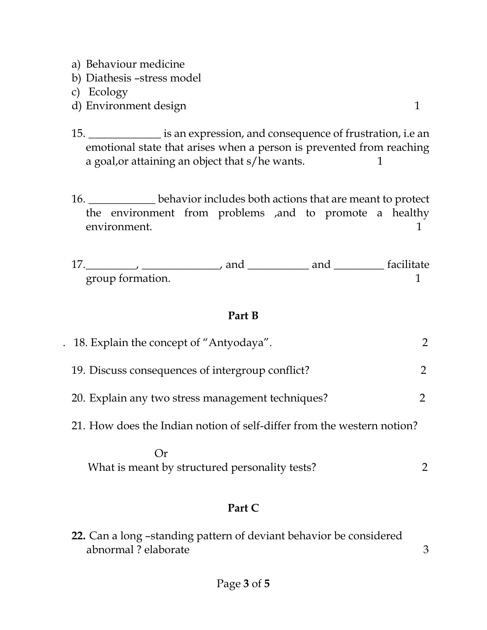- a) Behaviour medicine
- b) Diathesis –stress model
- c) Ecology
- d) Environment design 1
- 15. \_\_\_\_\_\_\_\_\_\_\_\_\_ is an expression, and consequence of frustration, i.e an emotional state that arises when a person is prevented from reaching a goal, or attaining an object that s/he wants. 1
- 16. \_\_\_\_\_\_\_\_\_\_\_\_ behavior includes both actions that are meant to protect the environment from problems ,and to promote a healthy environment. 1
- 17.\_\_\_\_\_\_\_\_\_, \_\_\_\_\_\_\_\_\_\_\_\_\_\_, and \_\_\_\_\_\_\_\_\_\_\_ and \_\_\_\_\_\_\_\_\_ facilitate group formation. 1

### **Part B**

| . 18. Explain the concept of "Antyodaya".                              |  |
|------------------------------------------------------------------------|--|
| 19. Discuss consequences of intergroup conflict?                       |  |
| 20. Explain any two stress management techniques?                      |  |
| 21. How does the Indian notion of self-differ from the western notion? |  |
|                                                                        |  |

What is meant by structured personality tests? 2

## **Part C**

**22.** Can a long –standing pattern of deviant behavior be considered abnormal ? elaborate 3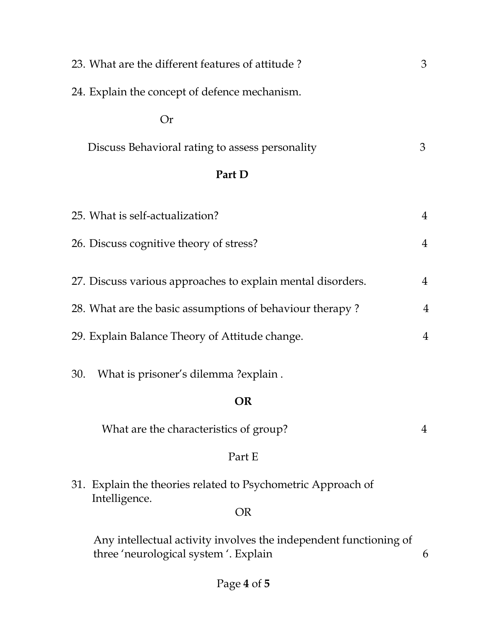|        | 23. What are the different features of attitude?                                                          | 3              |  |
|--------|-----------------------------------------------------------------------------------------------------------|----------------|--|
|        | 24. Explain the concept of defence mechanism.                                                             |                |  |
|        | Or                                                                                                        |                |  |
|        | Discuss Behavioral rating to assess personality                                                           | 3              |  |
| Part D |                                                                                                           |                |  |
|        | 25. What is self-actualization?                                                                           | $\overline{4}$ |  |
|        | 26. Discuss cognitive theory of stress?                                                                   | $\overline{4}$ |  |
|        | 27. Discuss various approaches to explain mental disorders.                                               | $\overline{4}$ |  |
|        | 28. What are the basic assumptions of behaviour therapy?                                                  | $\overline{4}$ |  |
|        | 29. Explain Balance Theory of Attitude change.                                                            | $\overline{4}$ |  |
|        | What is prisoner's dilemma?explain.<br>30.                                                                |                |  |
|        | OR                                                                                                        |                |  |
|        | What are the characteristics of group?                                                                    | 4              |  |
|        | Part E                                                                                                    |                |  |
|        | 31. Explain the theories related to Psychometric Approach of<br>Intelligence.                             |                |  |
|        | <b>OR</b>                                                                                                 |                |  |
|        | Any intellectual activity involves the independent functioning of<br>three 'neurological system'. Explain | 6              |  |
|        |                                                                                                           |                |  |